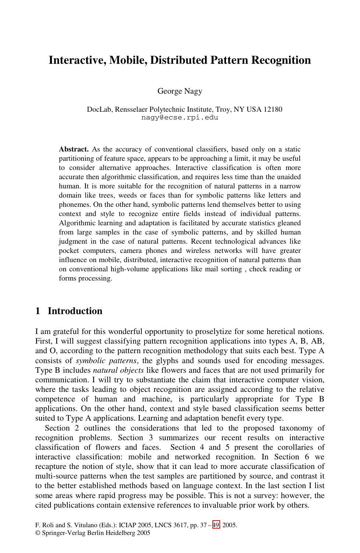## **Interactive, Mobile, Distributed Pattern Recognition**

George Nagy

DocLab, Rensselaer Polytechnic Institute, Troy, NY USA 12180 nagy@ecse.rpi.edu

**Abstract.** As the accuracy of conventional classifiers, based only on a static partitioning of feature space, appears to be approaching a limit, it may be useful to consider alternative approaches. Interactive classification is often more accurate then algorithmic classification, and requires less time than the unaided human. It is more suitable for the recognition of natural patterns in a narrow domain like trees, weeds or faces than for symbolic patterns like letters and phonemes. On the other hand, symbolic patterns lend themselves better to using context and style to recognize entire fields instead of individual patterns. Algorithmic learning and adaptation is facilitated by accurate statistics gleaned from large samples in the case of symbolic patterns, and by skilled human judgment in the case of natural patterns. Recent technological advances like pocket computers, camera phones and wireless networks will have greater influence on mobile, distributed, interactive recognition of natural patterns than on conventional high-volume applications like mail sorting , check reading or forms processing.

### **1 Introduction**

I am grateful for this wonderful opportunity to proselytize for some heretical notions. First, I will suggest classifying pattern recognition applications into types A, B, AB, and O, according to the pattern recognition methodology that suits each best. Type A consists of *symbolic patterns*, the glyphs and sounds used for encoding messages. Type B includes *natural objects* like flowers and faces that are not used primarily for communication. I will try to substantiate the claim that interactive computer vision, where the tasks leading to object recognition are assigned according to the relative competence of human and machine, is particularly appropriate for Type B applications. On the other hand, context and style based classification seems better suited to Type A applications. Learning and adaptation benefit every type.

Section 2 outlines the considerations that led to the proposed taxonomy of recognition problems. Section 3 summarizes our recent results on interactive classification of flowers and faces. Section 4 and 5 present the corollaries of interactive classification: mob[ile](#page-12-0) and networked recognition. In Section 6 we recapture the notion of style, show that it can lead to more accurate classification of multi-source patterns when the test samples are partitioned by source, and contrast it to the better established methods based on language context. In the last section I list some areas where rapid progress may be possible. This is not a survey: however, the cited publications contain extensive references to invaluable prior work by others.

F. Roli and S. Vitulano (Eds.): ICIAP 2005, LNCS 3617, pp. 37 – 49, 2005.

<sup>©</sup> Springer-Verlag Berlin Heidelberg 2005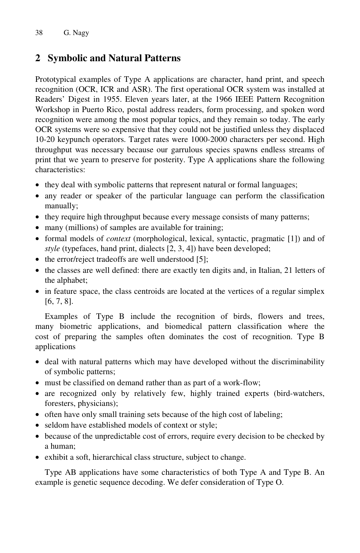# **2 Symbolic and Natural Patterns**

Prototypical examples of Type A applications are character, hand print, and speech recognition (OCR, ICR and ASR). The first operational OCR system was installed at Readers' Digest in 1955. Eleven years later, at the 1966 IEEE Pattern Recognition Workshop in Puerto Rico, postal address readers, form processing, and spoken word recognition were among the most popular topics, and they remain so today. The early OCR systems were so expensive that they could not be justified unless they displaced 10-20 keypunch operators. Target rates were 1000-2000 characters per second. High throughput was necessary because our garrulous species spawns endless streams of print that we yearn to preserve for posterity. Type A applications share the following characteristics:

- they deal with symbolic patterns that represent natural or formal languages;
- any reader or speaker of the particular language can perform the classification manually;
- they require high throughput because every message consists of many patterns;
- many (millions) of samples are available for training;
- formal models of *context* (morphological, lexical, syntactic, pragmatic [1]) and of *style* (typefaces, hand print, dialects [2, 3, 4]) have been developed;
- the error/reject tradeoffs are well understood [5];
- the classes are well defined: there are exactly ten digits and, in Italian, 21 letters of the alphabet;
- in feature space, the class centroids are located at the vertices of a regular simplex [6, 7, 8].

Examples of Type B include the recognition of birds, flowers and trees, many biometric applications, and biomedical pattern classification where the cost of preparing the samples often dominates the cost of recognition. Type B applications

- deal with natural patterns which may have developed without the discriminability of symbolic patterns;
- must be classified on demand rather than as part of a work-flow;
- are recognized only by relatively few, highly trained experts (bird-watchers, foresters, physicians);
- often have only small training sets because of the high cost of labeling;
- seldom have established models of context or style;
- because of the unpredictable cost of errors, require every decision to be checked by a human;
- exhibit a soft, hierarchical class structure, subject to change.

Type AB applications have some characteristics of both Type A and Type B. An example is genetic sequence decoding. We defer consideration of Type O.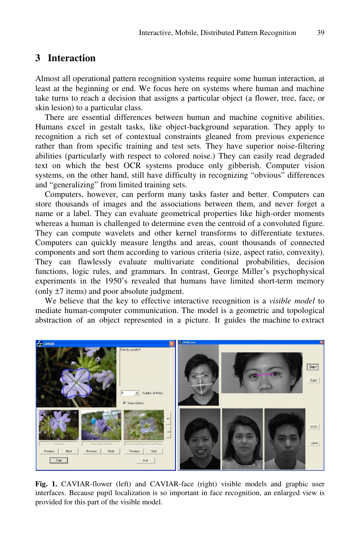#### **3 Interaction**

Almost all operational pattern recognition systems require some human interaction, at least at the beginning or end. We focus here on systems where human and machine take turns to reach a decision that assigns a particular object (a flower, tree, face, or skin lesion) to a particular class.

There are essential differences between human and machine cognitive abilities. Humans excel in gestalt tasks, like object-background separation. They apply to recognition a rich set of contextual constraints gleaned from previous experience rather than from specific training and test sets. They have superior noise-filtering abilities (particularly with respect to colored noise.) They can easily read degraded text on which the best OCR systems produce only gibberish. Computer vision systems, on the other hand, still have difficulty in recognizing "obvious" differences and "generalizing" from limited training sets.

Computers, however, can perform many tasks faster and better. Computers can store thousands of images and the associations between them, and never forget a name or a label. They can evaluate geometrical properties like high-order moments whereas a human is challenged to determine even the centroid of a convoluted figure. They can compute wavelets and other kernel transforms to differentiate textures. Computers can quickly measure lengths and areas, count thousands of connected components and sort them according to various criteria (size, aspect ratio, convexity). They can flawlessly evaluate multivariate conditional probabilities, decision functions, logic rules, and grammars. In contrast, George Miller's psychophysical experiments in the 1950's revealed that humans have limited short-term memory (only ±7 items) and poor absolute judgment.

We believe that the key to effective interactive recognition is a *visible model* to mediate human-computer communication. The model is a geometric and topological abstraction of an object represented in a picture. It guides the machine to extract



**Fig. 1.** CAVIAR-flower (left) and CAVIAR-face (right) visible models and graphic user interfaces. Because pupil localization is so important in face recognition, an enlarged view is provided for this part of the visible model.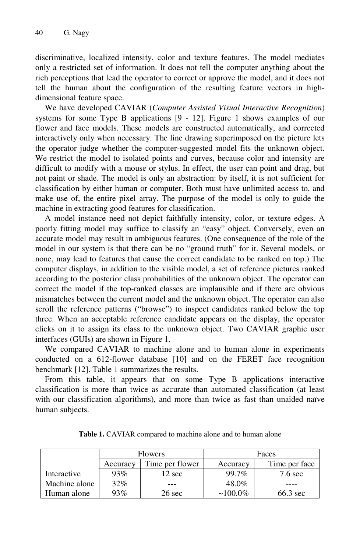discriminative, localized intensity, color and texture features. The model mediates only a restricted set of information. It does not tell the computer anything about the rich perceptions that lead the operator to correct or approve the model, and it does not tell the human about the configuration of the resulting feature vectors in highdimensional feature space.

We have developed CAVIAR (*Computer Assisted Visual Interactive Recognition*) systems for some Type B applications [9 - 12]. Figure 1 shows examples of our flower and face models. These models are constructed automatically, and corrected interactively only when necessary. The line drawing superimposed on the picture lets the operator judge whether the computer-suggested model fits the unknown object. We restrict the model to isolated points and curves, because color and intensity are difficult to modify with a mouse or stylus. In effect, the user can point and drag, but not paint or shade. The model is only an abstraction: by itself, it is not sufficient for classification by either human or computer. Both must have unlimited access to, and make use of, the entire pixel array. The purpose of the model is only to guide the machine in extracting good features for classification.

A model instance need not depict faithfully intensity, color, or texture edges. A poorly fitting model may suffice to classify an "easy" object. Conversely, even an accurate model may result in ambiguous features. (One consequence of the role of the model in our system is that there can be no "ground truth" for it. Several models, or none, may lead to features that cause the correct candidate to be ranked on top.) The computer displays, in addition to the visible model, a set of reference pictures ranked according to the posterior class probabilities of the unknown object. The operator can correct the model if the top-ranked classes are implausible and if there are obvious mismatches between the current model and the unknown object. The operator can also scroll the reference patterns ("browse") to inspect candidates ranked below the top three. When an acceptable reference candidate appears on the display, the operator clicks on it to assign its class to the unknown object. Two CAVIAR graphic user interfaces (GUIs) are shown in Figure 1.

We compared CAVIAR to machine alone and to human alone in experiments conducted on a 612-flower database [10] and on the FERET face recognition benchmark [12]. Table 1 summarizes the results.

From this table, it appears that on some Type B applications interactive classification is more than twice as accurate than automated classification (at least with our classification algorithms), and more than twice as fast than unaided naïve human subjects.

|               |          | Flowers         | Faces      |                   |  |
|---------------|----------|-----------------|------------|-------------------|--|
|               | Accuracy | Time per flower | Accuracy   | Time per face     |  |
| Interactive   | 93%      | 12 sec          | 99.7%      | $7.6 \text{ sec}$ |  |
| Machine alone | 32%      | ---             | 48.0%      |                   |  |
| Human alone   | 93%      | 26 sec          | $~100.0\%$ | 66.3 sec          |  |

**Table 1.** CAVIAR compared to machine alone and to human alone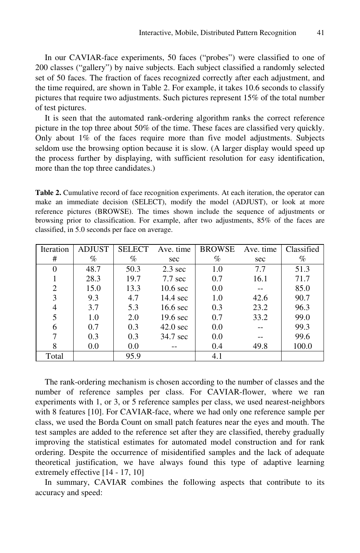In our CAVIAR-face experiments, 50 faces ("probes") were classified to one of 200 classes ("gallery") by naive subjects. Each subject classified a randomly selected set of 50 faces. The fraction of faces recognized correctly after each adjustment, and the time required, are shown in Table 2. For example, it takes 10.6 seconds to classify pictures that require two adjustments. Such pictures represent 15% of the total number of test pictures.

It is seen that the automated rank-ordering algorithm ranks the correct reference picture in the top three about 50% of the time. These faces are classified very quickly. Only about 1% of the faces require more than five model adjustments. Subjects seldom use the browsing option because it is slow. (A larger display would speed up the process further by displaying, with sufficient resolution for easy identification, more than the top three candidates.)

**Table 2.** Cumulative record of face recognition experiments. At each iteration, the operator can make an immediate decision (SELECT), modify the model (ADJUST), or look at more reference pictures (BROWSE). The times shown include the sequence of adjustments or browsing prior to classification. For example, after two adjustments, 85% of the faces are classified, in 5.0 seconds per face on average.

| Iteration      | <b>ADJUST</b> | <b>SELECT</b> | Ave. time          | <b>BROWSE</b> | Ave. time | Classified |
|----------------|---------------|---------------|--------------------|---------------|-----------|------------|
| #              | %             | $\%$          | sec                | $\%$          | sec       | $\%$       |
| $\Omega$       | 48.7          | 50.3          | $2.3 \text{ sec}$  | 1.0           | 7.7       | 51.3       |
|                | 28.3          | 19.7          | $7.7 \text{ sec}$  | 0.7           | 16.1      | 71.7       |
| $\overline{2}$ | 15.0          | 13.3          | $10.6 \text{ sec}$ | 0.0           |           | 85.0       |
| 3              | 9.3           | 4.7           | 14.4 sec           | 1.0           | 42.6      | 90.7       |
| $\overline{4}$ | 3.7           | 5.3           | $16.6 \text{ sec}$ | 0.3           | 23.2      | 96.3       |
| 5              | 1.0           | 2.0           | $19.6 \text{ sec}$ | 0.7           | 33.2      | 99.0       |
| 6              | 0.7           | 0.3           | $42.0 \text{ sec}$ | 0.0           |           | 99.3       |
|                | 0.3           | 0.3           | 34.7 sec           | 0.0           |           | 99.6       |
| 8              | 0.0           | 0.0           |                    | 0.4           | 49.8      | 100.0      |
| Total          |               | 95.9          |                    | 4.1           |           |            |

The rank-ordering mechanism is chosen according to the number of classes and the number of reference samples per class. For CAVIAR-flower, where we ran experiments with 1, or 3, or 5 reference samples per class, we used nearest-neighbors with 8 features [10]. For CAVIAR-face, where we had only one reference sample per class, we used the Borda Count on small patch features near the eyes and mouth. The test samples are added to the reference set after they are classified, thereby gradually improving the statistical estimates for automated model construction and for rank ordering. Despite the occurrence of misidentified samples and the lack of adequate theoretical justification, we have always found this type of adaptive learning extremely effective [14 - 17, 10]

In summary, CAVIAR combines the following aspects that contribute to its accuracy and speed: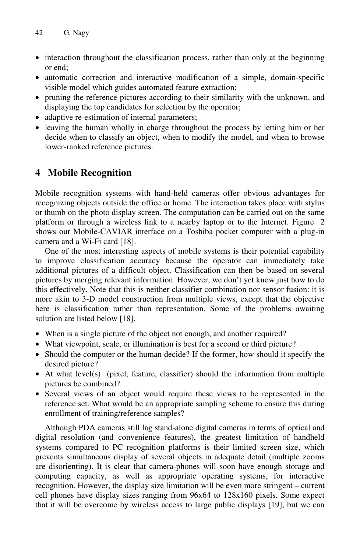- interaction throughout the classification process, rather than only at the beginning or end;
- automatic correction and interactive modification of a simple, domain-specific visible model which guides automated feature extraction;
- pruning the reference pictures according to their similarity with the unknown, and displaying the top candidates for selection by the operator;
- adaptive re-estimation of internal parameters;
- leaving the human wholly in charge throughout the process by letting him or her decide when to classify an object, when to modify the model, and when to browse lower-ranked reference pictures.

### **4 Mobile Recognition**

Mobile recognition systems with hand-held cameras offer obvious advantages for recognizing objects outside the office or home. The interaction takes place with stylus or thumb on the photo display screen. The computation can be carried out on the same platform or through a wireless link to a nearby laptop or to the Internet. Figure 2 shows our Mobile-CAVIAR interface on a Toshiba pocket computer with a plug-in camera and a Wi-Fi card [18].

One of the most interesting aspects of mobile systems is their potential capability to improve classification accuracy because the operator can immediately take additional pictures of a difficult object. Classification can then be based on several pictures by merging relevant information. However, we don't yet know just how to do this effectively. Note that this is neither classifier combination nor sensor fusion: it is more akin to 3-D model construction from multiple views, except that the objective here is classification rather than representation. Some of the problems awaiting solution are listed below [18].

- When is a single picture of the object not enough, and another required?
- What viewpoint, scale, or illumination is best for a second or third picture?
- Should the computer or the human decide? If the former, how should it specify the desired picture?
- At what level(s) (pixel, feature, classifier) should the information from multiple pictures be combined?
- Several views of an object would require these views to be represented in the reference set. What would be an appropriate sampling scheme to ensure this during enrollment of training/reference samples?

Although PDA cameras still lag stand-alone digital cameras in terms of optical and digital resolution (and convenience features), the greatest limitation of handheld systems compared to PC recognition platforms is their limited screen size, which prevents simultaneous display of several objects in adequate detail (multiple zooms are disorienting). It is clear that camera-phones will soon have enough storage and computing capacity, as well as appropriate operating systems, for interactive recognition. However, the display size limitation will be even more stringent – current cell phones have display sizes ranging from 96x64 to 128x160 pixels. Some expect that it will be overcome by wireless access to large public displays [19], but we can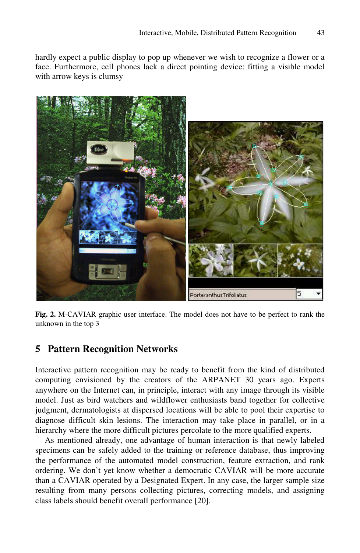hardly expect a public display to pop up whenever we wish to recognize a flower or a face. Furthermore, cell phones lack a direct pointing device: fitting a visible model with arrow keys is clumsy



**Fig. 2.** M-CAVIAR graphic user interface. The model does not have to be perfect to rank the unknown in the top 3

### **5 Pattern Recognition Networks**

Interactive pattern recognition may be ready to benefit from the kind of distributed computing envisioned by the creators of the ARPANET 30 years ago. Experts anywhere on the Internet can, in principle, interact with any image through its visible model. Just as bird watchers and wildflower enthusiasts band together for collective judgment, dermatologists at dispersed locations will be able to pool their expertise to diagnose difficult skin lesions. The interaction may take place in parallel, or in a hierarchy where the more difficult pictures percolate to the more qualified experts.

As mentioned already, one advantage of human interaction is that newly labeled specimens can be safely added to the training or reference database, thus improving the performance of the automated model construction, feature extraction, and rank ordering. We don't yet know whether a democratic CAVIAR will be more accurate than a CAVIAR operated by a Designated Expert. In any case, the larger sample size resulting from many persons collecting pictures, correcting models, and assigning class labels should benefit overall performance [20].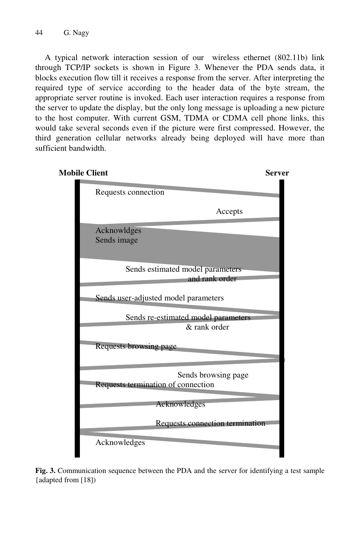A typical network interaction session of our wireless ethernet (802.11b) link through TCP/IP sockets is shown in Figure 3. Whenever the PDA sends data, it blocks execution flow till it receives a response from the server. After interpreting the required type of service according to the header data of the byte stream, the appropriate server routine is invoked. Each user interaction requires a response from the server to update the display, but the only long message is uploading a new picture to the host computer. With current GSM, TDMA or CDMA cell phone links, this would take several seconds even if the picture were first compressed. However, the third generation cellular networks already being deployed will have more than sufficient bandwidth.



**Fig. 3.** Communication sequence between the PDA and the server for identifying a test sample {adapted from [18])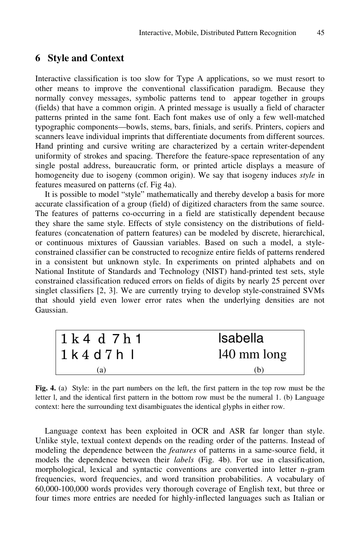#### **6 Style and Context**

Interactive classification is too slow for Type A applications, so we must resort to other means to improve the conventional classification paradigm. Because they normally convey messages, symbolic patterns tend to appear together in groups (fields) that have a common origin. A printed message is usually a field of character patterns printed in the same font. Each font makes use of only a few well-matched typographic components—bowls, stems, bars, finials, and serifs. Printers, copiers and scanners leave individual imprints that differentiate documents from different sources. Hand printing and cursive writing are characterized by a certain writer-dependent uniformity of strokes and spacing. Therefore the feature-space representation of any single postal address, bureaucratic form, or printed article displays a measure of homogeneity due to isogeny (common origin). We say that isogeny induces *style* in features measured on patterns (cf. Fig 4a).

It is possible to model "style" mathematically and thereby develop a basis for more accurate classification of a group (field) of digitized characters from the same source. The features of patterns co-occurring in a field are statistically dependent because they share the same style. Effects of style consistency on the distributions of fieldfeatures (concatenation of pattern features) can be modeled by discrete, hierarchical, or continuous mixtures of Gaussian variables. Based on such a model, a styleconstrained classifier can be constructed to recognize entire fields of patterns rendered in a consistent but unknown style. In experiments on printed alphabets and on National Institute of Standards and Technology (NIST) hand-printed test sets, style constrained classification reduced errors on fields of digits by nearly 25 percent over singlet classifiers [2, 3]. We are currently trying to develop style-constrained SVMs that should yield even lower error rates when the underlying densities are not Gaussian.

| 1 k 4 d 7 h 1 | <b>Isabella</b>       |  |  |
|---------------|-----------------------|--|--|
| 1k4d7h        | $140 \text{ mm}$ long |  |  |
| (a)           | (b)                   |  |  |

**Fig. 4.** (a) Style: in the part numbers on the left, the first pattern in the top row must be the letter l, and the identical first pattern in the bottom row must be the numeral 1. (b) Language context: here the surrounding text disambiguates the identical glyphs in either row.

Language context has been exploited in OCR and ASR far longer than style. Unlike style, textual context depends on the reading order of the patterns. Instead of modeling the dependence between the *features* of patterns in a same-source field, it models the dependence between their *labels* (Fig. 4b). For use in classification, morphological, lexical and syntactic conventions are converted into letter n-gram frequencies, word frequencies, and word transition probabilities. A vocabulary of 60,000-100,000 words provides very thorough coverage of English text, but three or four times more entries are needed for highly-inflected languages such as Italian or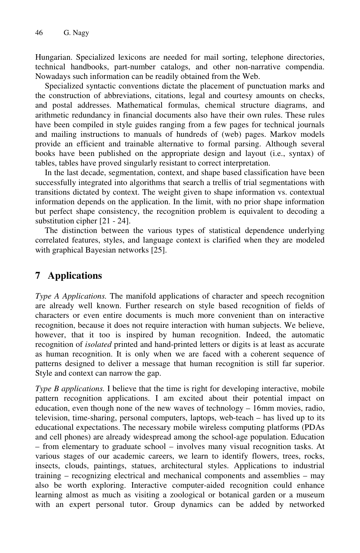Hungarian. Specialized lexicons are needed for mail sorting, telephone directories, technical handbooks, part-number catalogs, and other non-narrative compendia. Nowadays such information can be readily obtained from the Web.

Specialized syntactic conventions dictate the placement of punctuation marks and the construction of abbreviations, citations, legal and courtesy amounts on checks, and postal addresses. Mathematical formulas, chemical structure diagrams, and arithmetic redundancy in financial documents also have their own rules. These rules have been compiled in style guides ranging from a few pages for technical journals and mailing instructions to manuals of hundreds of (web) pages. Markov models provide an efficient and trainable alternative to formal parsing. Although several books have been published on the appropriate design and layout (i.e., syntax) of tables, tables have proved singularly resistant to correct interpretation.

In the last decade, segmentation, context, and shape based classification have been successfully integrated into algorithms that search a trellis of trial segmentations with transitions dictated by context. The weight given to shape information vs. contextual information depends on the application. In the limit, with no prior shape information but perfect shape consistency, the recognition problem is equivalent to decoding a substitution cipher [21 - 24].

The distinction between the various types of statistical dependence underlying correlated features, styles, and language context is clarified when they are modeled with graphical Bayesian networks [25].

## **7 Applications**

*Type A Applications.* The manifold applications of character and speech recognition are already well known. Further research on style based recognition of fields of characters or even entire documents is much more convenient than on interactive recognition, because it does not require interaction with human subjects. We believe, however, that it too is inspired by human recognition. Indeed, the automatic recognition of *isolated* printed and hand-printed letters or digits is at least as accurate as human recognition. It is only when we are faced with a coherent sequence of patterns designed to deliver a message that human recognition is still far superior. Style and context can narrow the gap.

*Type B applications.* I believe that the time is right for developing interactive, mobile pattern recognition applications. I am excited about their potential impact on education, even though none of the new waves of technology – 16mm movies, radio, television, time-sharing, personal computers, laptops, web-teach – has lived up to its educational expectations. The necessary mobile wireless computing platforms (PDAs and cell phones) are already widespread among the school-age population. Education – from elementary to graduate school – involves many visual recognition tasks. At various stages of our academic careers, we learn to identify flowers, trees, rocks, insects, clouds, paintings, statues, architectural styles. Applications to industrial training – recognizing electrical and mechanical components and assemblies – may also be worth exploring. Interactive computer-aided recognition could enhance learning almost as much as visiting a zoological or botanical garden or a museum with an expert personal tutor. Group dynamics can be added by networked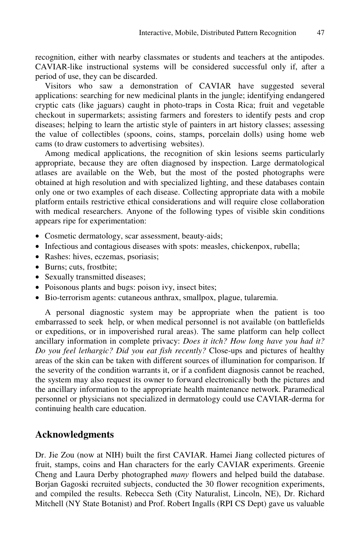recognition, either with nearby classmates or students and teachers at the antipodes. CAVIAR-like instructional systems will be considered successful only if, after a period of use, they can be discarded.

Visitors who saw a demonstration of CAVIAR have suggested several applications: searching for new medicinal plants in the jungle; identifying endangered cryptic cats (like jaguars) caught in photo-traps in Costa Rica; fruit and vegetable checkout in supermarkets; assisting farmers and foresters to identify pests and crop diseases; helping to learn the artistic style of painters in art history classes; assessing the value of collectibles (spoons, coins, stamps, porcelain dolls) using home web cams (to draw customers to advertising websites).

Among medical applications, the recognition of skin lesions seems particularly appropriate, because they are often diagnosed by inspection. Large dermatological atlases are available on the Web, but the most of the posted photographs were obtained at high resolution and with specialized lighting, and these databases contain only one or two examples of each disease. Collecting appropriate data with a mobile platform entails restrictive ethical considerations and will require close collaboration with medical researchers. Anyone of the following types of visible skin conditions appears ripe for experimentation:

- Cosmetic dermatology, scar assessment, beauty-aids;
- Infectious and contagious diseases with spots: measles, chickenpox, rubella;
- Rashes: hives, eczemas, psoriasis;
- Burns: cuts, frostbite:
- Sexually transmitted diseases;
- Poisonous plants and bugs: poison ivy, insect bites;
- Bio-terrorism agents: cutaneous anthrax, smallpox, plague, tularemia.

A personal diagnostic system may be appropriate when the patient is too embarrassed to seek help, or when medical personnel is not available (on battlefields or expeditions, or in impoverished rural areas). The same platform can help collect ancillary information in complete privacy: *Does it itch? How long have you had it? Do you feel lethargic? Did you eat fish recently?* Close-ups and pictures of healthy areas of the skin can be taken with different sources of illumination for comparison. If the severity of the condition warrants it, or if a confident diagnosis cannot be reached, the system may also request its owner to forward electronically both the pictures and the ancillary information to the appropriate health maintenance network. Paramedical personnel or physicians not specialized in dermatology could use CAVIAR-derma for continuing health care education.

#### **Acknowledgments**

Dr. Jie Zou (now at NIH) built the first CAVIAR. Hamei Jiang collected pictures of fruit, stamps, coins and Han characters for the early CAVIAR experiments. Greenie Cheng and Laura Derby photographed *many* flowers and helped build the database. Borjan Gagoski recruited subjects, conducted the 30 flower recognition experiments, and compiled the results. Rebecca Seth (City Naturalist, Lincoln, NE), Dr. Richard Mitchell (NY State Botanist) and Prof. Robert Ingalls (RPI CS Dept) gave us valuable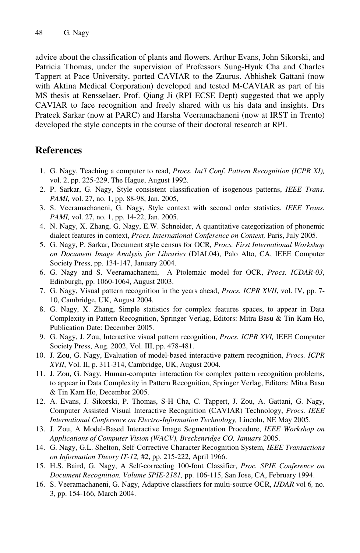advice about the classification of plants and flowers. Arthur Evans, John Sikorski, and Patricia Thomas, under the supervision of Professors Sung-Hyuk Cha and Charles Tappert at Pace University, ported CAVIAR to the Zaurus. Abhishek Gattani (now with Aktina Medical Corporation) developed and tested M-CAVIAR as part of his MS thesis at Rensselaer. Prof. Qiang Ji (RPI ECSE Dept) suggested that we apply CAVIAR to face recognition and freely shared with us his data and insights. Drs Prateek Sarkar (now at PARC) and Harsha Veeramachaneni (now at IRST in Trento) developed the style concepts in the course of their doctoral research at RPI.

### **References**

- 1. G. Nagy, Teaching a computer to read, *Procs. Int'l Conf. Pattern Recognition (ICPR XI),*  vol. 2, pp. 225-229, The Hague, August 1992.
- 2. P. Sarkar, G. Nagy, Style consistent classification of isogenous patterns, *IEEE Trans. PAMI,* vol. 27, no. 1, pp. 88-98, Jan. 2005,
- 3. S. Veeramachaneni, G. Nagy, Style context with second order statistics, *IEEE Trans. PAMI,* vol. 27, no. 1, pp. 14-22, Jan. 2005.
- 4. N. Nagy, X. Zhang, G. Nagy, E.W. Schneider, A quantitative categorization of phonemic dialect features in context, *Procs. International Conference on Context,* Paris, July 2005.
- 5. G. Nagy, P. Sarkar, Document style census for OCR*, Procs. First International Workshop on Document Image Analysis for Libraries* (DIAL04), Palo Alto, CA, IEEE Computer Society Press, pp. 134-147, January 2004.
- 6. G. Nagy and S. Veeramachaneni, A Ptolemaic model for OCR, *Procs. ICDAR-03*, Edinburgh, pp. 1060-1064, August 2003.
- 7. G. Nagy, Visual pattern recognition in the years ahead, *Procs. ICPR XVII*, vol. IV, pp. 7- 10, Cambridge, UK, August 2004.
- 8. G. Nagy, X. Zhang, Simple statistics for complex features spaces, to appear in Data Complexity in Pattern Recognition, Springer Verlag, Editors: Mitra Basu & Tin Kam Ho, Publication Date: December 2005.
- 9. G. Nagy, J. Zou, Interactive visual pattern recognition, *Procs. ICPR XVI,* IEEE Computer Society Press, Aug. 2002, Vol. III, pp. 478-481.
- 10. J. Zou, G. Nagy, Evaluation of model-based interactive pattern recognition, *Procs. ICPR XVII*, Vol. II, p. 311-314, Cambridge, UK, August 2004.
- 11. J. Zou, G. Nagy, Human-computer interaction for complex pattern recognition problems, to appear in Data Complexity in Pattern Recognition, Springer Verlag, Editors: Mitra Basu & Tin Kam Ho, December 2005.
- 12. A. Evans, J. Sikorski, P. Thomas, S-H Cha, C. Tappert, J. Zou, A. Gattani, G. Nagy, Computer Assisted Visual Interactive Recognition (CAVIAR) Technology, *Procs. IEEE International Conference on Electro-Information Technology,* Lincoln, NE May 2005.
- 13. J. Zou, A Model-Based Interactive Image Segmentation Procedure, *IEEE Workshop on Applications of Computer Vision (WACV), Breckenridge CO, January* 2005.
- 14. G. Nagy, G.L. Shelton, Self-Corrective Character Recognition System, *IEEE Transactions on Information Theory IT-12,* #2, pp. 215-222, April 1966.
- 15. H.S. Baird, G. Nagy, A Self-correcting 100-font Classifier, *Proc. SPIE Conference on Document Recognition, Volume SPIE-2181,* pp. 106-115, San Jose, CA, February 1994.
- 16. S. Veeramachaneni, G. Nagy, Adaptive classifiers for multi-source OCR, *IJDAR* vol 6*,* no. 3, pp. 154-166, March 2004.